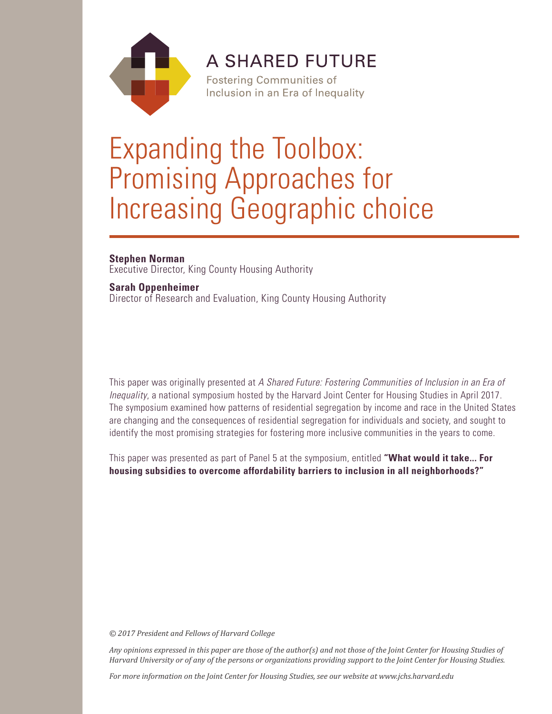

**A SHARED FUTURE** 

**Fostering Communities of** Inclusion in an Era of Inequality

# Expanding the Toolbox: Promising Approaches for Increasing Geographic choice

**Stephen Norman** Executive Director, King County Housing Authority

**Sarah Oppenheimer** Director of Research and Evaluation, King County Housing Authority

This paper was originally presented at *A Shared Future: Fostering Communities of Inclusion in an Era of Inequality*, a national symposium hosted by the Harvard Joint Center for Housing Studies in April 2017. The symposium examined how patterns of residential segregation by income and race in the United States are changing and the consequences of residential segregation for individuals and society, and sought to identify the most promising strategies for fostering more inclusive communities in the years to come.

This paper was presented as part of Panel 5 at the symposium, entitled **"What would it take... For housing subsidies to overcome affordability barriers to inclusion in all neighborhoods?"** 

*© 2017 President and Fellows of Harvard College*

*Any opinions expressed in this paper are those of the author(s) and not those of the Joint Center for Housing Studies of Harvard University or of any of the persons or organizations providing support to the Joint Center for Housing Studies.* 

*For more information on the Joint Center for Housing Studies, see our website at www.jchs.harvard.edu*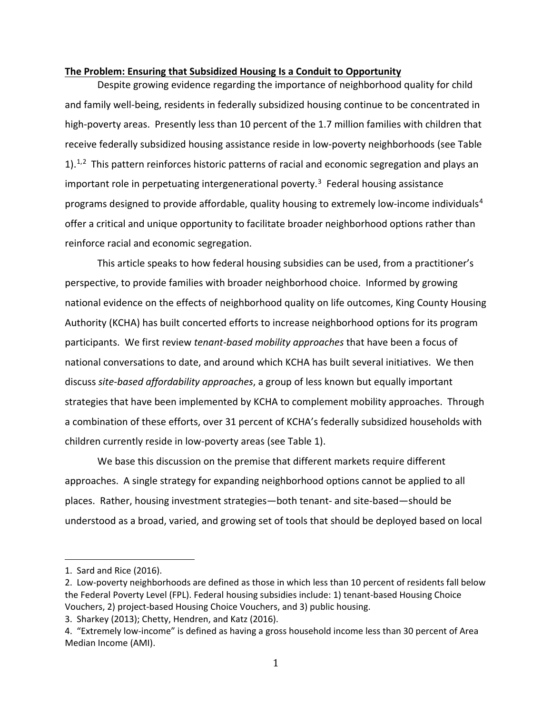#### **The Problem: Ensuring that Subsidized Housing Is a Conduit to Opportunity**

Despite growing evidence regarding the importance of neighborhood quality for child and family well-being, residents in federally subsidized housing continue to be concentrated in high-poverty areas. Presently less than 10 percent of the 1.7 million families with children that receive federally subsidized housing assistance reside in low-poverty neighborhoods (see Table [1](#page-1-0)).<sup>1,[2](#page-1-1)</sup> This pattern reinforces historic patterns of racial and economic segregation and plays an important role in perpetuating intergenerational poverty. [3](#page-1-2) Federal housing assistance programs designed to provide affordable, quality housing to extremely low-income individuals<sup>[4](#page-1-3)</sup> offer a critical and unique opportunity to facilitate broader neighborhood options rather than reinforce racial and economic segregation.

This article speaks to how federal housing subsidies can be used, from a practitioner's perspective, to provide families with broader neighborhood choice. Informed by growing national evidence on the effects of neighborhood quality on life outcomes, King County Housing Authority (KCHA) has built concerted efforts to increase neighborhood options for its program participants. We first review *tenant-based mobility approaches* that have been a focus of national conversations to date, and around which KCHA has built several initiatives. We then discuss *site-based affordability approaches*, a group of less known but equally important strategies that have been implemented by KCHA to complement mobility approaches. Through a combination of these efforts, over 31 percent of KCHA's federally subsidized households with children currently reside in low-poverty areas (see Table 1).

We base this discussion on the premise that different markets require different approaches. A single strategy for expanding neighborhood options cannot be applied to all places. Rather, housing investment strategies—both tenant- and site-based—should be understood as a broad, varied, and growing set of tools that should be deployed based on local

i<br>I

<span id="page-1-0"></span><sup>1.</sup> Sard and Rice (2016).

<span id="page-1-1"></span><sup>2.</sup> Low-poverty neighborhoods are defined as those in which less than 10 percent of residents fall below the Federal Poverty Level (FPL). Federal housing subsidies include: 1) tenant-based Housing Choice Vouchers, 2) project-based Housing Choice Vouchers, and 3) public housing.

<span id="page-1-2"></span><sup>3.</sup> Sharkey (2013); Chetty, Hendren, and Katz (2016).

<span id="page-1-3"></span><sup>4.</sup> "Extremely low-income" is defined as having a gross household income less than 30 percent of Area Median Income (AMI).

<sup>1</sup>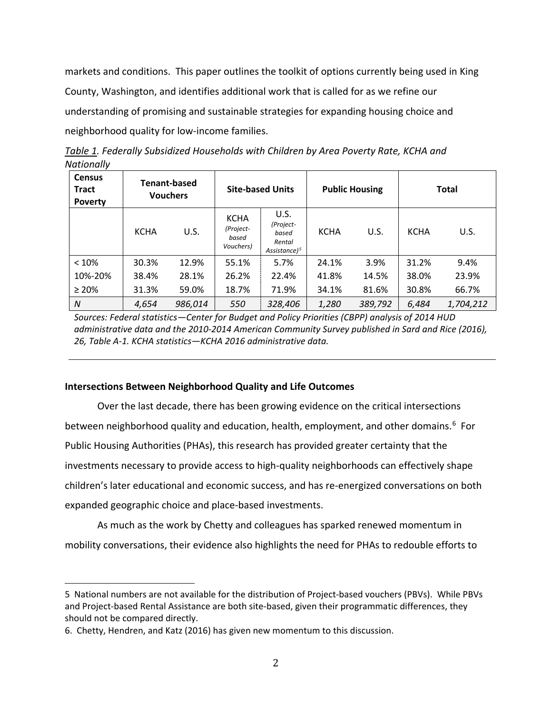markets and conditions. This paper outlines the toolkit of options currently being used in King County, Washington, and identifies additional work that is called for as we refine our understanding of promising and sustainable strategies for expanding housing choice and neighborhood quality for low-income families.

| <b>Census</b><br><b>Tract</b><br><b>Poverty</b> | <b>Tenant-based</b><br><b>Vouchers</b> |         | <b>Site-based Units</b>                        |                                                         | <b>Public Housing</b> |         | <b>Total</b> |           |
|-------------------------------------------------|----------------------------------------|---------|------------------------------------------------|---------------------------------------------------------|-----------------------|---------|--------------|-----------|
|                                                 | <b>KCHA</b>                            | U.S.    | <b>KCHA</b><br>(Project-<br>based<br>Vouchers) | U.S.<br>(Project-<br>based<br>Rental<br>Assistance) $5$ | <b>KCHA</b>           | U.S.    | <b>KCHA</b>  | U.S.      |
| < 10%                                           | 30.3%                                  | 12.9%   | 55.1%                                          | 5.7%                                                    | 24.1%                 | 3.9%    | 31.2%        | 9.4%      |
| 10%-20%                                         | 38.4%                                  | 28.1%   | 26.2%                                          | 22.4%                                                   | 41.8%                 | 14.5%   | 38.0%        | 23.9%     |
| $\geq 20\%$                                     | 31.3%                                  | 59.0%   | 18.7%                                          | 71.9%                                                   | 34.1%                 | 81.6%   | 30.8%        | 66.7%     |
| N                                               | 4,654                                  | 986,014 | 550                                            | 328,406                                                 | 1,280                 | 389,792 | 6,484        | 1,704,212 |

*Table 1. Federally Subsidized Households with Children by Area Poverty Rate, KCHA and Nationally*

*Sources: Federal statistics—Center for Budget and Policy Priorities (CBPP) analysis of 2014 HUD administrative data and the 2010-2014 American Community Survey published in Sard and Rice (2016), 26, Table A-1. KCHA statistics—KCHA 2016 administrative data.*

# **Intersections Between Neighborhood Quality and Life Outcomes**

Over the last decade, there has been growing evidence on the critical intersections between neighborhood quality and education, health, employment, and other domains.<sup>6</sup> For Public Housing Authorities (PHAs), this research has provided greater certainty that the investments necessary to provide access to high-quality neighborhoods can effectively shape children's later educational and economic success, and has re-energized conversations on both expanded geographic choice and place-based investments.

As much as the work by Chetty and colleagues has sparked renewed momentum in mobility conversations, their evidence also highlights the need for PHAs to redouble efforts to

<span id="page-2-1"></span>i<br>I 5 National numbers are not available for the distribution of Project-based vouchers (PBVs). While PBVs and Project-based Rental Assistance are both site-based, given their programmatic differences, they should not be compared directly.

<span id="page-2-0"></span><sup>6.</sup> Chetty, Hendren, and Katz (2016) has given new momentum to this discussion.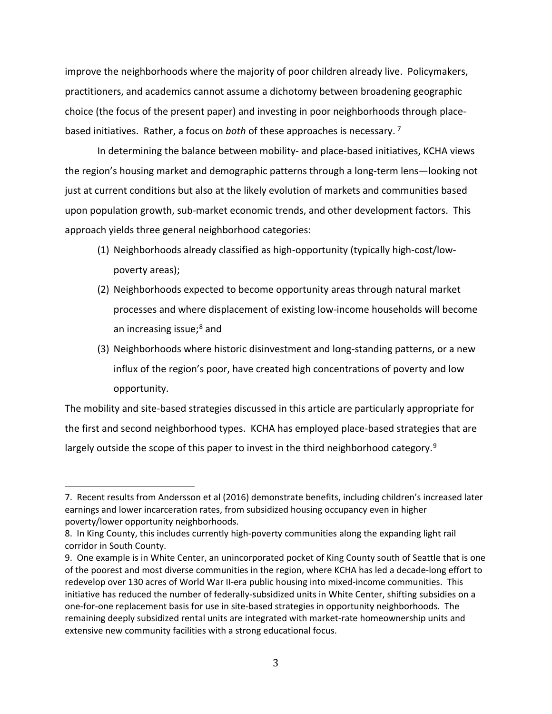improve the neighborhoods where the majority of poor children already live. Policymakers, practitioners, and academics cannot assume a dichotomy between broadening geographic choice (the focus of the present paper) and investing in poor neighborhoods through placebased initiatives. Rather, a focus on *both* of these approaches is necessary. [7](#page-3-0)

In determining the balance between mobility- and place-based initiatives, KCHA views the region's housing market and demographic patterns through a long-term lens—looking not just at current conditions but also at the likely evolution of markets and communities based upon population growth, sub-market economic trends, and other development factors. This approach yields three general neighborhood categories:

- (1) Neighborhoods already classified as high-opportunity (typically high-cost/lowpoverty areas);
- (2) Neighborhoods expected to become opportunity areas through natural market processes and where displacement of existing low-income households will become an increasing issue; $8$  and
- (3) Neighborhoods where historic disinvestment and long-standing patterns, or a new influx of the region's poor, have created high concentrations of poverty and low opportunity.

The mobility and site-based strategies discussed in this article are particularly appropriate for the first and second neighborhood types. KCHA has employed place-based strategies that are largely outside the scope of this paper to invest in the third neighborhood category.<sup>[9](#page-3-2)</sup>

<span id="page-3-0"></span>I 7. Recent results from Andersson et al (2016) demonstrate benefits, including children's increased later earnings and lower incarceration rates, from subsidized housing occupancy even in higher poverty/lower opportunity neighborhoods.

<span id="page-3-1"></span><sup>8.</sup> In King County, this includes currently high-poverty communities along the expanding light rail corridor in South County.

<span id="page-3-2"></span><sup>9.</sup> One example is in White Center, an unincorporated pocket of King County south of Seattle that is one of the poorest and most diverse communities in the region, where KCHA has led a decade-long effort to redevelop over 130 acres of World War II-era public housing into mixed-income communities. This initiative has reduced the number of federally-subsidized units in White Center, shifting subsidies on a one-for-one replacement basis for use in site-based strategies in opportunity neighborhoods. The remaining deeply subsidized rental units are integrated with market-rate homeownership units and extensive new community facilities with a strong educational focus.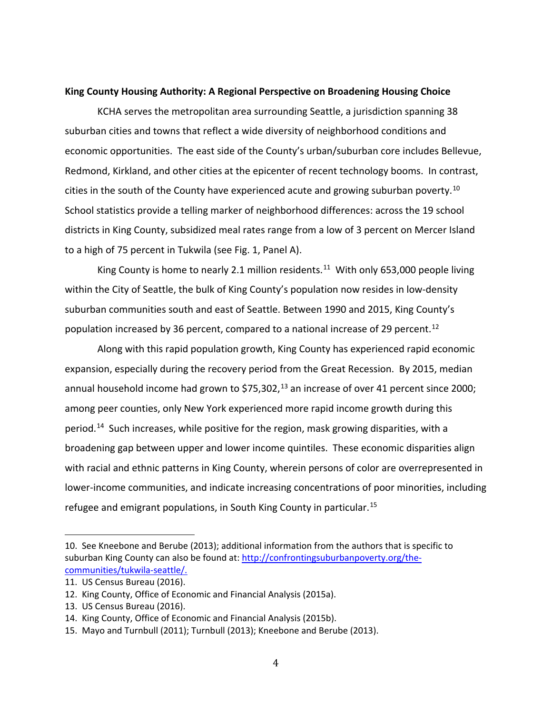#### **King County Housing Authority: A Regional Perspective on Broadening Housing Choice**

KCHA serves the metropolitan area surrounding Seattle, a jurisdiction spanning 38 suburban cities and towns that reflect a wide diversity of neighborhood conditions and economic opportunities. The east side of the County's urban/suburban core includes Bellevue, Redmond, Kirkland, and other cities at the epicenter of recent technology booms. In contrast, cities in the south of the County have experienced acute and growing suburban poverty.<sup>[10](#page-4-0)</sup> School statistics provide a telling marker of neighborhood differences: across the 19 school districts in King County, subsidized meal rates range from a low of 3 percent on Mercer Island to a high of 75 percent in Tukwila (see Fig. 1, Panel A).

King County is home to nearly 2.1 million residents.<sup>11</sup> With only 653,000 people living within the City of Seattle, the bulk of King County's population now resides in low-density suburban communities south and east of Seattle. Between 1990 and 2015, King County's population increased by 36 percent, compared to a national increase of 29 percent. [12](#page-4-2)

Along with this rapid population growth, King County has experienced rapid economic expansion, especially during the recovery period from the Great Recession. By 2015, median annual household income had grown to \$75,302,<sup>[13](#page-4-3)</sup> an increase of over 41 percent since 2000; among peer counties, only New York experienced more rapid income growth during this period.<sup>[14](#page-4-4)</sup> Such increases, while positive for the region, mask growing disparities, with a broadening gap between upper and lower income quintiles. These economic disparities align with racial and ethnic patterns in King County, wherein persons of color are overrepresented in lower-income communities, and indicate increasing concentrations of poor minorities, including refugee and emigrant populations, in South King County in particular. [15](#page-4-5)

<span id="page-4-0"></span>i<br>I 10. See Kneebone and Berube (2013); additional information from the authors that is specific to suburban King County can also be found at: [http://confrontingsuburbanpoverty.org/the](http://confrontingsuburbanpoverty.org/the-communities/tukwila-seattle/)[communities/tukwila-seattle/.](http://confrontingsuburbanpoverty.org/the-communities/tukwila-seattle/)

<span id="page-4-1"></span><sup>11.</sup> US Census Bureau (2016).

<span id="page-4-2"></span><sup>12.</sup> King County, Office of Economic and Financial Analysis (2015a).

<span id="page-4-3"></span><sup>13.</sup> US Census Bureau (2016).

<span id="page-4-4"></span><sup>14.</sup> King County, Office of Economic and Financial Analysis (2015b).

<span id="page-4-5"></span><sup>15.</sup> Mayo and Turnbull (2011); Turnbull (2013); Kneebone and Berube (2013).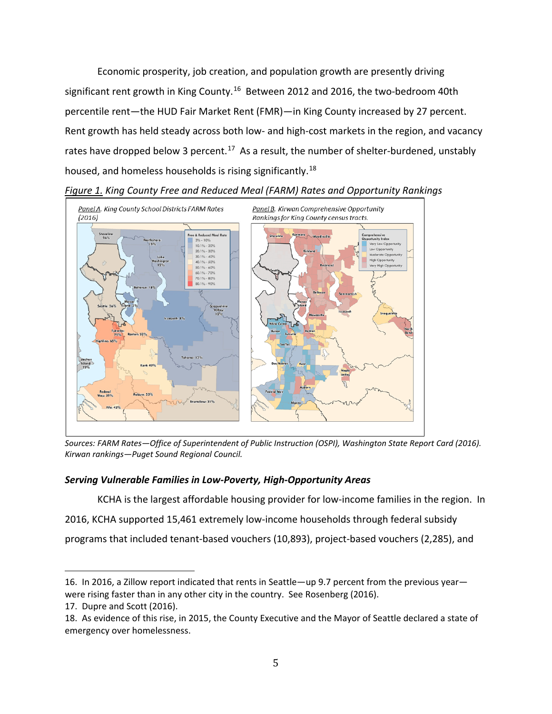Economic prosperity, job creation, and population growth are presently driving significant rent growth in King County.<sup>[16](#page-5-0)</sup> Between 2012 and 2016, the two-bedroom 40th percentile rent—the HUD Fair Market Rent (FMR)—in King County increased by 27 percent. Rent growth has held steady across both low- and high-cost markets in the region, and vacancy rates have dropped below 3 percent.<sup>17</sup> As a result, the number of shelter-burdened, unstably housed, and homeless households is rising significantly.<sup>[18](#page-5-2)</sup>





*Sources: FARM Rates—Office of Superintendent of Public Instruction (OSPI), Washington State Report Card (2016). Kirwan rankings—Puget Sound Regional Council.*

# *Serving Vulnerable Families in Low-Poverty, High-Opportunity Areas*

KCHA is the largest affordable housing provider for low-income families in the region. In

2016, KCHA supported 15,461 extremely low-income households through federal subsidy

programs that included tenant-based vouchers (10,893), project-based vouchers (2,285), and

<span id="page-5-0"></span>i<br>I 16. In 2016, a Zillow report indicated that rents in Seattle—up 9.7 percent from the previous year were rising faster than in any other city in the country. See Rosenberg (2016).

<span id="page-5-1"></span><sup>17.</sup> Dupre and Scott (2016).

<span id="page-5-2"></span><sup>18.</sup> As evidence of this rise, in 2015, the County Executive and the Mayor of Seattle declared a state of emergency over homelessness.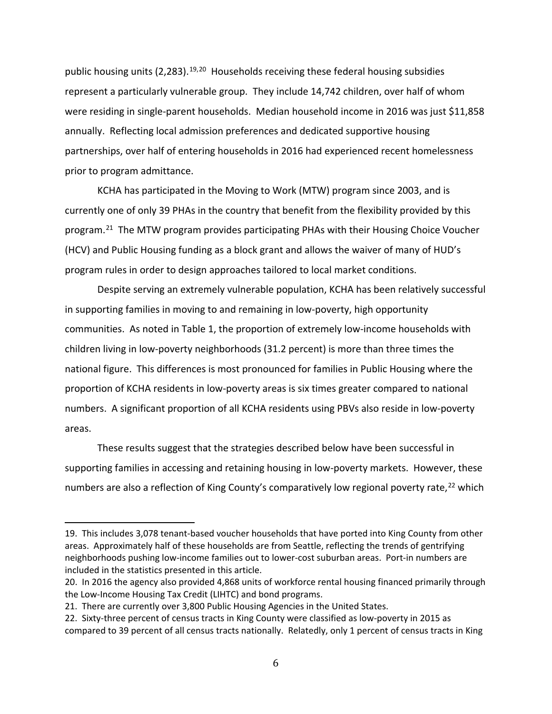public housing units (2,283).<sup>[19](#page-6-0),[20](#page-6-1)</sup> Households receiving these federal housing subsidies represent a particularly vulnerable group. They include 14,742 children, over half of whom were residing in single-parent households. Median household income in 2016 was just \$11,858 annually. Reflecting local admission preferences and dedicated supportive housing partnerships, over half of entering households in 2016 had experienced recent homelessness prior to program admittance.

KCHA has participated in the Moving to Work (MTW) program since 2003, and is currently one of only 39 PHAs in the country that benefit from the flexibility provided by this program. [21](#page-6-2) The MTW program provides participating PHAs with their Housing Choice Voucher (HCV) and Public Housing funding as a block grant and allows the waiver of many of HUD's program rules in order to design approaches tailored to local market conditions.

Despite serving an extremely vulnerable population, KCHA has been relatively successful in supporting families in moving to and remaining in low-poverty, high opportunity communities. As noted in Table 1, the proportion of extremely low-income households with children living in low-poverty neighborhoods (31.2 percent) is more than three times the national figure. This differences is most pronounced for families in Public Housing where the proportion of KCHA residents in low-poverty areas is six times greater compared to national numbers. A significant proportion of all KCHA residents using PBVs also reside in low-poverty areas.

These results suggest that the strategies described below have been successful in supporting families in accessing and retaining housing in low-poverty markets. However, these numbers are also a reflection of King County's comparatively low regional poverty rate,<sup>[22](#page-6-3)</sup> which

<span id="page-6-0"></span>i<br>I 19. This includes 3,078 tenant-based voucher households that have ported into King County from other areas. Approximately half of these households are from Seattle, reflecting the trends of gentrifying neighborhoods pushing low-income families out to lower-cost suburban areas. Port-in numbers are included in the statistics presented in this article.

<span id="page-6-1"></span><sup>20.</sup> In 2016 the agency also provided 4,868 units of workforce rental housing financed primarily through the Low-Income Housing Tax Credit (LIHTC) and bond programs.

<span id="page-6-2"></span><sup>21.</sup> There are currently over 3,800 Public Housing Agencies in the United States.

<span id="page-6-3"></span><sup>22.</sup> Sixty-three percent of census tracts in King County were classified as low-poverty in 2015 as compared to 39 percent of all census tracts nationally. Relatedly, only 1 percent of census tracts in King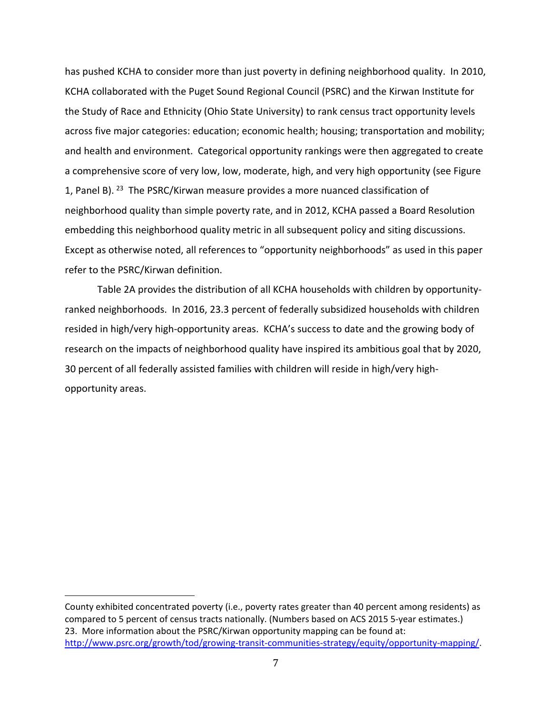has pushed KCHA to consider more than just poverty in defining neighborhood quality. In 2010, KCHA collaborated with the Puget Sound Regional Council (PSRC) and the Kirwan Institute for the Study of Race and Ethnicity (Ohio State University) to rank census tract opportunity levels across five major categories: education; economic health; housing; transportation and mobility; and health and environment. Categorical opportunity rankings were then aggregated to create a comprehensive score of very low, low, moderate, high, and very high opportunity (see Figure 1, Panel B).  $^{23}$  $^{23}$  $^{23}$  The PSRC/Kirwan measure provides a more nuanced classification of neighborhood quality than simple poverty rate, and in 2012, KCHA passed a Board Resolution embedding this neighborhood quality metric in all subsequent policy and siting discussions. Except as otherwise noted, all references to "opportunity neighborhoods" as used in this paper refer to the PSRC/Kirwan definition.

Table 2A provides the distribution of all KCHA households with children by opportunityranked neighborhoods. In 2016, 23.3 percent of federally subsidized households with children resided in high/very high-opportunity areas. KCHA's success to date and the growing body of research on the impacts of neighborhood quality have inspired its ambitious goal that by 2020, 30 percent of all federally assisted families with children will reside in high/very highopportunity areas.

<span id="page-7-0"></span>County exhibited concentrated poverty (i.e., poverty rates greater than 40 percent among residents) as compared to 5 percent of census tracts nationally. (Numbers based on ACS 2015 5-year estimates.) 23. More information about the PSRC/Kirwan opportunity mapping can be found at: [http://www.psrc.org/growth/tod/growing-transit-communities-strategy/equity/opportunity-mapping/.](http://www.psrc.org/growth/tod/growing-transit-communities-strategy/equity/opportunity-mapping/)

i<br>I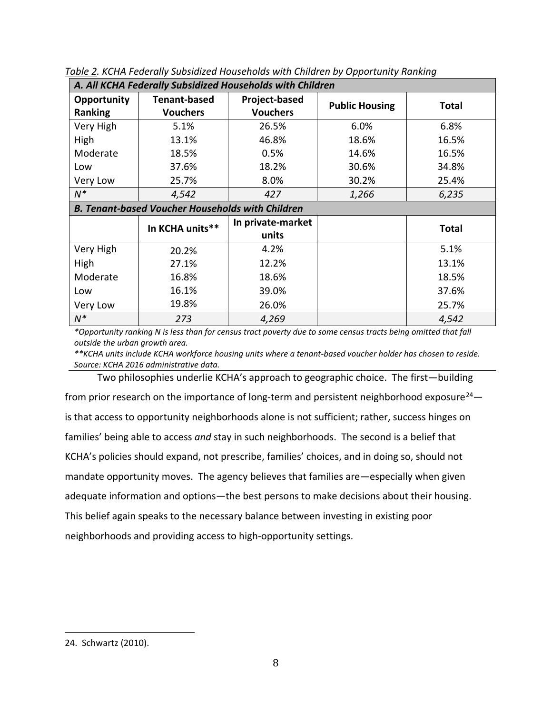| A. All KCHA Federally Subsidized Households with Children |                     |                   |                       |              |  |  |  |  |  |
|-----------------------------------------------------------|---------------------|-------------------|-----------------------|--------------|--|--|--|--|--|
| Opportunity                                               | <b>Tenant-based</b> | Project-based     | <b>Public Housing</b> | <b>Total</b> |  |  |  |  |  |
| Ranking                                                   | <b>Vouchers</b>     | <b>Vouchers</b>   |                       |              |  |  |  |  |  |
| Very High                                                 | 5.1%                | 26.5%             | 6.0%                  | 6.8%         |  |  |  |  |  |
| High                                                      | 13.1%               | 46.8%             | 18.6%                 | 16.5%        |  |  |  |  |  |
| Moderate                                                  | 18.5%               | 0.5%              | 14.6%                 | 16.5%        |  |  |  |  |  |
| Low                                                       | 37.6%               | 18.2%             | 30.6%                 | 34.8%        |  |  |  |  |  |
| Very Low                                                  | 25.7%               | 8.0%              | 30.2%                 | 25.4%        |  |  |  |  |  |
| $N^*$                                                     | 4,542               | 427               | 1,266                 | 6,235        |  |  |  |  |  |
| <b>B. Tenant-based Voucher Households with Children</b>   |                     |                   |                       |              |  |  |  |  |  |
|                                                           | In KCHA units**     | In private-market |                       | <b>Total</b> |  |  |  |  |  |
|                                                           |                     | units             |                       |              |  |  |  |  |  |
| Very High                                                 | 20.2%               | 4.2%              |                       | 5.1%         |  |  |  |  |  |
| High                                                      | 27.1%               | 12.2%             |                       | 13.1%        |  |  |  |  |  |
| Moderate                                                  | 16.8%               | 18.6%             |                       | 18.5%        |  |  |  |  |  |
| Low                                                       | 16.1%               | 39.0%             |                       | 37.6%        |  |  |  |  |  |
| Very Low                                                  | 19.8%               | 26.0%             |                       | 25.7%        |  |  |  |  |  |
| $N^*$                                                     | 273                 | 4,269             |                       | 4,542        |  |  |  |  |  |

*Table 2. KCHA Federally Subsidized Households with Children by Opportunity Ranking*

*\*Opportunity ranking N is less than for census tract poverty due to some census tracts being omitted that fall outside the urban growth area.*

*\*\*KCHA units include KCHA workforce housing units where a tenant-based voucher holder has chosen to reside. Source: KCHA 2016 administrative data.*

Two philosophies underlie KCHA's approach to geographic choice. The first—building from prior research on the importance of long-term and persistent neighborhood exposure<sup>[24](#page-8-0)</sup> $$ is that access to opportunity neighborhoods alone is not sufficient; rather, success hinges on families' being able to access *and* stay in such neighborhoods. The second is a belief that KCHA's policies should expand, not prescribe, families' choices, and in doing so, should not mandate opportunity moves. The agency believes that families are—especially when given adequate information and options—the best persons to make decisions about their housing. This belief again speaks to the necessary balance between investing in existing poor neighborhoods and providing access to high-opportunity settings.

<span id="page-8-0"></span>i<br>I 24. Schwartz (2010).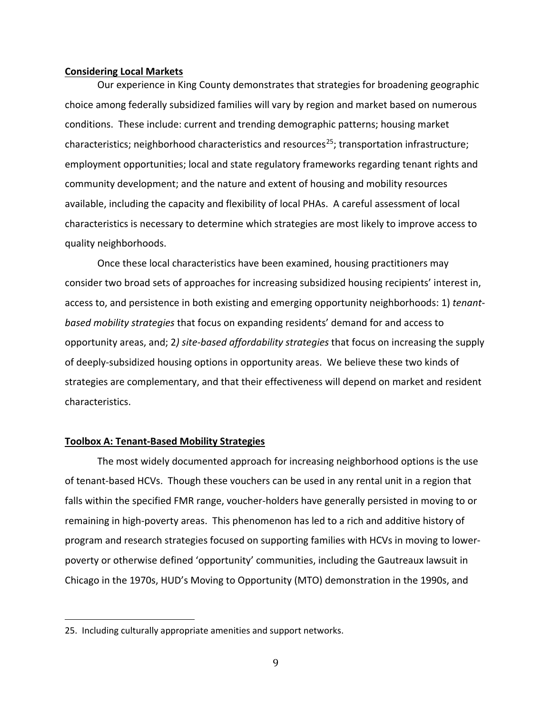#### **Considering Local Markets**

Our experience in King County demonstrates that strategies for broadening geographic choice among federally subsidized families will vary by region and market based on numerous conditions. These include: current and trending demographic patterns; housing market characteristics; neighborhood characteristics and resources<sup>[25](#page-9-0)</sup>; transportation infrastructure; employment opportunities; local and state regulatory frameworks regarding tenant rights and community development; and the nature and extent of housing and mobility resources available, including the capacity and flexibility of local PHAs. A careful assessment of local characteristics is necessary to determine which strategies are most likely to improve access to quality neighborhoods.

Once these local characteristics have been examined, housing practitioners may consider two broad sets of approaches for increasing subsidized housing recipients' interest in, access to, and persistence in both existing and emerging opportunity neighborhoods: 1) *tenantbased mobility strategies* that focus on expanding residents' demand for and access to opportunity areas, and; 2*) site-based affordability strategies* that focus on increasing the supply of deeply-subsidized housing options in opportunity areas. We believe these two kinds of strategies are complementary, and that their effectiveness will depend on market and resident characteristics.

#### **Toolbox A: Tenant-Based Mobility Strategies**

The most widely documented approach for increasing neighborhood options is the use of tenant-based HCVs. Though these vouchers can be used in any rental unit in a region that falls within the specified FMR range, voucher-holders have generally persisted in moving to or remaining in high-poverty areas. This phenomenon has led to a rich and additive history of program and research strategies focused on supporting families with HCVs in moving to lowerpoverty or otherwise defined 'opportunity' communities, including the Gautreaux lawsuit in Chicago in the 1970s, HUD's Moving to Opportunity (MTO) demonstration in the 1990s, and

<span id="page-9-0"></span>i<br>I 25. Including culturally appropriate amenities and support networks.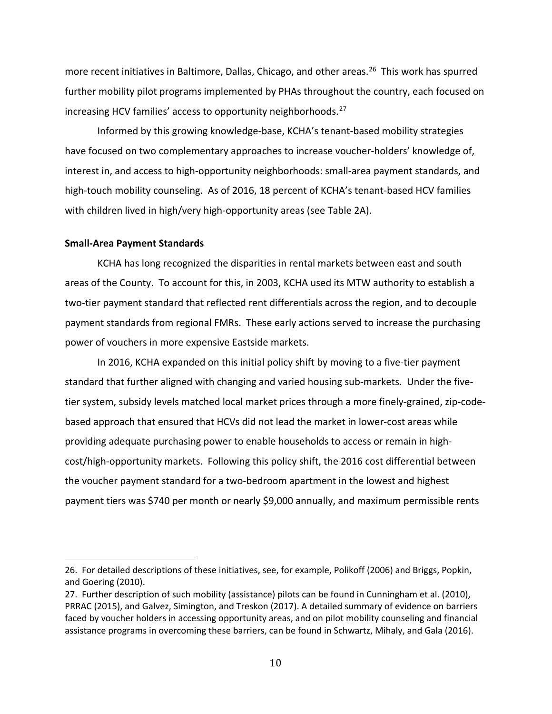more recent initiatives in Baltimore, Dallas, Chicago, and other areas. [26](#page-10-0) This work has spurred further mobility pilot programs implemented by PHAs throughout the country, each focused on increasing HCV families' access to opportunity neighborhoods.[27](#page-10-1)

Informed by this growing knowledge-base, KCHA's tenant-based mobility strategies have focused on two complementary approaches to increase voucher-holders' knowledge of, interest in, and access to high-opportunity neighborhoods: small-area payment standards, and high-touch mobility counseling. As of 2016, 18 percent of KCHA's tenant-based HCV families with children lived in high/very high-opportunity areas (see Table 2A).

#### **Small-Area Payment Standards**

i<br>I

KCHA has long recognized the disparities in rental markets between east and south areas of the County. To account for this, in 2003, KCHA used its MTW authority to establish a two-tier payment standard that reflected rent differentials across the region, and to decouple payment standards from regional FMRs. These early actions served to increase the purchasing power of vouchers in more expensive Eastside markets.

In 2016, KCHA expanded on this initial policy shift by moving to a five-tier payment standard that further aligned with changing and varied housing sub-markets. Under the fivetier system, subsidy levels matched local market prices through a more finely-grained, zip-codebased approach that ensured that HCVs did not lead the market in lower-cost areas while providing adequate purchasing power to enable households to access or remain in highcost/high-opportunity markets. Following this policy shift, the 2016 cost differential between the voucher payment standard for a two-bedroom apartment in the lowest and highest payment tiers was \$740 per month or nearly \$9,000 annually, and maximum permissible rents

<span id="page-10-0"></span><sup>26.</sup> For detailed descriptions of these initiatives, see, for example, Polikoff (2006) and Briggs, Popkin, and Goering (2010).

<span id="page-10-1"></span><sup>27.</sup> Further description of such mobility (assistance) pilots can be found in Cunningham et al. (2010), PRRAC (2015), and Galvez, Simington, and Treskon (2017). A detailed summary of evidence on barriers faced by voucher holders in accessing opportunity areas, and on pilot mobility counseling and financial assistance programs in overcoming these barriers, can be found in Schwartz, Mihaly, and Gala (2016).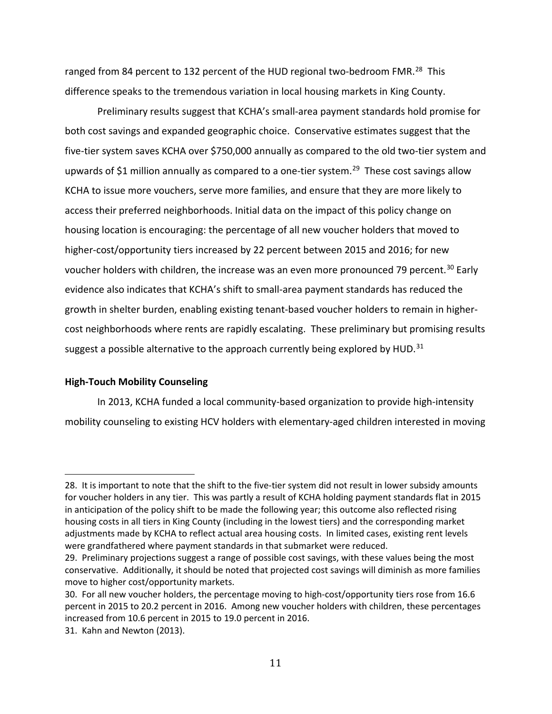ranged from 84 percent to 132 percent of the HUD regional two-bedroom FMR.<sup>28</sup> This difference speaks to the tremendous variation in local housing markets in King County.

Preliminary results suggest that KCHA's small-area payment standards hold promise for both cost savings and expanded geographic choice. Conservative estimates suggest that the five-tier system saves KCHA over \$750,000 annually as compared to the old two-tier system and upwards of \$1 million annually as compared to a one-tier system.<sup>[29](#page-11-1)</sup> These cost savings allow KCHA to issue more vouchers, serve more families, and ensure that they are more likely to access their preferred neighborhoods. Initial data on the impact of this policy change on housing location is encouraging: the percentage of all new voucher holders that moved to higher-cost/opportunity tiers increased by 22 percent between 2015 and 2016; for new voucher holders with children, the increase was an even more pronounced 79 percent.<sup>[30](#page-11-2)</sup> Early evidence also indicates that KCHA's shift to small-area payment standards has reduced the growth in shelter burden, enabling existing tenant-based voucher holders to remain in highercost neighborhoods where rents are rapidly escalating. These preliminary but promising results suggest a possible alternative to the approach currently being explored by HUD.<sup>31</sup>

#### **High-Touch Mobility Counseling**

In 2013, KCHA funded a local community-based organization to provide high-intensity mobility counseling to existing HCV holders with elementary-aged children interested in moving

<span id="page-11-0"></span>i<br>I 28. It is important to note that the shift to the five-tier system did not result in lower subsidy amounts for voucher holders in any tier. This was partly a result of KCHA holding payment standards flat in 2015 in anticipation of the policy shift to be made the following year; this outcome also reflected rising housing costs in all tiers in King County (including in the lowest tiers) and the corresponding market adjustments made by KCHA to reflect actual area housing costs. In limited cases, existing rent levels were grandfathered where payment standards in that submarket were reduced.

<span id="page-11-1"></span><sup>29.</sup> Preliminary projections suggest a range of possible cost savings, with these values being the most conservative. Additionally, it should be noted that projected cost savings will diminish as more families move to higher cost/opportunity markets.

<span id="page-11-2"></span><sup>30.</sup> For all new voucher holders, the percentage moving to high-cost/opportunity tiers rose from 16.6 percent in 2015 to 20.2 percent in 2016. Among new voucher holders with children, these percentages increased from 10.6 percent in 2015 to 19.0 percent in 2016.

<span id="page-11-3"></span><sup>31.</sup> Kahn and Newton (2013).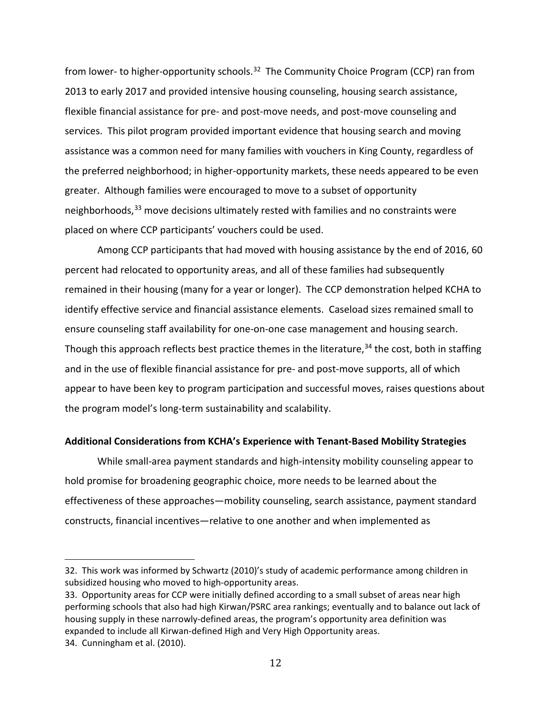from lower- to higher-opportunity schools.<sup>[32](#page-12-0)</sup> The Community Choice Program (CCP) ran from 2013 to early 2017 and provided intensive housing counseling, housing search assistance, flexible financial assistance for pre- and post-move needs, and post-move counseling and services. This pilot program provided important evidence that housing search and moving assistance was a common need for many families with vouchers in King County, regardless of the preferred neighborhood; in higher-opportunity markets, these needs appeared to be even greater. Although families were encouraged to move to a subset of opportunity neighborhoods,<sup>[33](#page-12-1)</sup> move decisions ultimately rested with families and no constraints were placed on where CCP participants' vouchers could be used.

Among CCP participants that had moved with housing assistance by the end of 2016, 60 percent had relocated to opportunity areas, and all of these families had subsequently remained in their housing (many for a year or longer). The CCP demonstration helped KCHA to identify effective service and financial assistance elements. Caseload sizes remained small to ensure counseling staff availability for one-on-one case management and housing search. Though this approach reflects best practice themes in the literature,<sup>[34](#page-12-2)</sup> the cost, both in staffing and in the use of flexible financial assistance for pre- and post-move supports, all of which appear to have been key to program participation and successful moves, raises questions about the program model's long-term sustainability and scalability.

#### **Additional Considerations from KCHA's Experience with Tenant-Based Mobility Strategies**

While small-area payment standards and high-intensity mobility counseling appear to hold promise for broadening geographic choice, more needs to be learned about the effectiveness of these approaches—mobility counseling, search assistance, payment standard constructs, financial incentives—relative to one another and when implemented as

<span id="page-12-0"></span>i<br>I 32. This work was informed by Schwartz (2010)'s study of academic performance among children in subsidized housing who moved to high-opportunity areas.

<span id="page-12-1"></span><sup>33.</sup> Opportunity areas for CCP were initially defined according to a small subset of areas near high performing schools that also had high Kirwan/PSRC area rankings; eventually and to balance out lack of housing supply in these narrowly-defined areas, the program's opportunity area definition was expanded to include all Kirwan-defined High and Very High Opportunity areas.

<span id="page-12-2"></span><sup>34.</sup> Cunningham et al. (2010).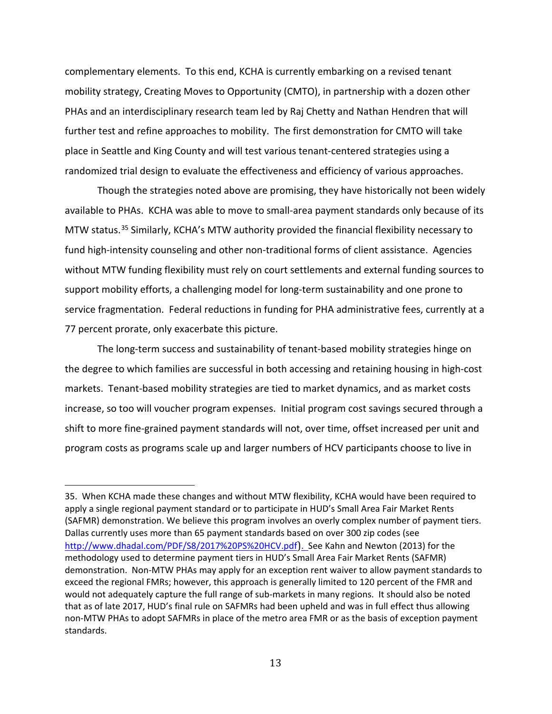complementary elements. To this end, KCHA is currently embarking on a revised tenant mobility strategy, Creating Moves to Opportunity (CMTO), in partnership with a dozen other PHAs and an interdisciplinary research team led by Raj Chetty and Nathan Hendren that will further test and refine approaches to mobility. The first demonstration for CMTO will take place in Seattle and King County and will test various tenant-centered strategies using a randomized trial design to evaluate the effectiveness and efficiency of various approaches.

 Though the strategies noted above are promising, they have historically not been widely available to PHAs. KCHA was able to move to small-area payment standards only because of its MTW status.<sup>[35](#page-13-0)</sup> Similarly, KCHA's MTW authority provided the financial flexibility necessary to fund high-intensity counseling and other non-traditional forms of client assistance. Agencies without MTW funding flexibility must rely on court settlements and external funding sources to support mobility efforts, a challenging model for long-term sustainability and one prone to service fragmentation. Federal reductions in funding for PHA administrative fees, currently at a 77 percent prorate, only exacerbate this picture.

The long-term success and sustainability of tenant-based mobility strategies hinge on the degree to which families are successful in both accessing and retaining housing in high-cost markets. Tenant-based mobility strategies are tied to market dynamics, and as market costs increase, so too will voucher program expenses. Initial program cost savings secured through a shift to more fine-grained payment standards will not, over time, offset increased per unit and program costs as programs scale up and larger numbers of HCV participants choose to live in

<span id="page-13-0"></span>i<br>I 35. When KCHA made these changes and without MTW flexibility, KCHA would have been required to apply a single regional payment standard or to participate in HUD's Small Area Fair Market Rents (SAFMR) demonstration. We believe this program involves an overly complex number of payment tiers. Dallas currently uses more than 65 payment standards based on over 300 zip codes (see <http://www.dhadal.com/PDF/S8/2017%20PS%20HCV.pdf>). See Kahn and Newton (2013) for the methodology used to determine payment tiers in HUD's Small Area Fair Market Rents (SAFMR) demonstration. Non-MTW PHAs may apply for an exception rent waiver to allow payment standards to exceed the regional FMRs; however, this approach is generally limited to 120 percent of the FMR and would not adequately capture the full range of sub-markets in many regions. It should also be noted that as of late 2017, HUD's final rule on SAFMRs had been upheld and was in full effect thus allowing non-MTW PHAs to adopt SAFMRs in place of the metro area FMR or as the basis of exception payment standards.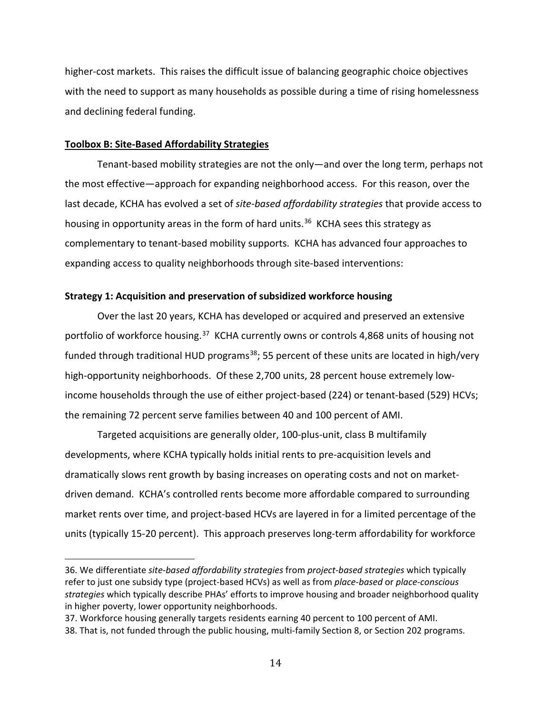higher-cost markets. This raises the difficult issue of balancing geographic choice objectives with the need to support as many households as possible during a time of rising homelessness and declining federal funding.

#### **Toolbox B: Site-Based Affordability Strategies**

Tenant-based mobility strategies are not the only—and over the long term, perhaps not the most effective—approach for expanding neighborhood access. For this reason, over the last decade, KCHA has evolved a set of *site-based affordability strategies* that provide access to housing in opportunity areas in the form of hard units.<sup>36</sup> KCHA sees this strategy as complementary to tenant-based mobility supports. KCHA has advanced four approaches to expanding access to quality neighborhoods through site-based interventions:

#### **Strategy 1: Acquisition and preservation of subsidized workforce housing**

Over the last 20 years, KCHA has developed or acquired and preserved an extensive portfolio of workforce housing.<sup>37</sup> KCHA currently owns or controls 4,868 units of housing not funded through traditional HUD programs<sup>[38](#page-14-2)</sup>; 55 percent of these units are located in high/very high-opportunity neighborhoods. Of these 2,700 units, 28 percent house extremely lowincome households through the use of either project-based (224) or tenant-based (529) HCVs; the remaining 72 percent serve families between 40 and 100 percent of AMI.

Targeted acquisitions are generally older, 100-plus-unit, class B multifamily developments, where KCHA typically holds initial rents to pre-acquisition levels and dramatically slows rent growth by basing increases on operating costs and not on marketdriven demand. KCHA's controlled rents become more affordable compared to surrounding market rents over time, and project-based HCVs are layered in for a limited percentage of the units (typically 15-20 percent). This approach preserves long-term affordability for workforce

<span id="page-14-0"></span>i<br>I 36. We differentiate *site-based affordability strategies* from *project-based strategies* which typically refer to just one subsidy type (project-based HCVs) as well as from *place-based* or *place-conscious strategies* which typically describe PHAs' efforts to improve housing and broader neighborhood quality in higher poverty, lower opportunity neighborhoods.

<span id="page-14-1"></span><sup>37.</sup> Workforce housing generally targets residents earning 40 percent to 100 percent of AMI.

<span id="page-14-2"></span><sup>38.</sup> That is, not funded through the public housing, multi-family Section 8, or Section 202 programs.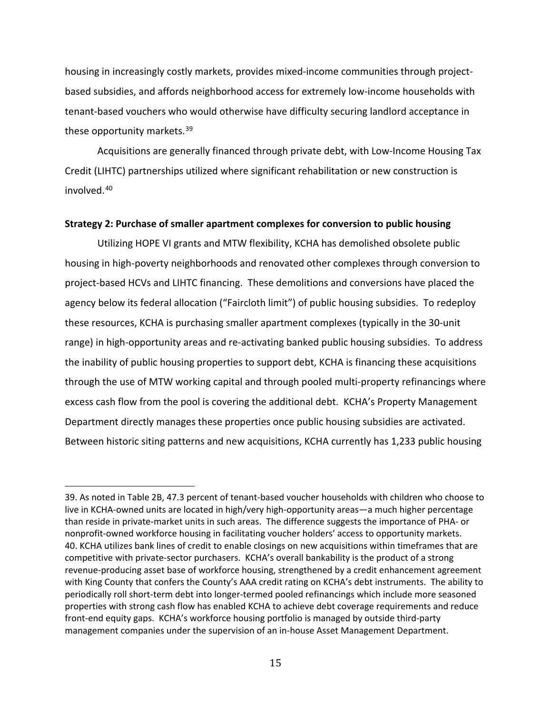housing in increasingly costly markets, provides mixed-income communities through projectbased subsidies, and affords neighborhood access for extremely low-income households with tenant-based vouchers who would otherwise have difficulty securing landlord acceptance in these opportunity markets.<sup>[39](#page-15-0)</sup>

Acquisitions are generally financed through private debt, with Low-Income Housing Tax Credit (LIHTC) partnerships utilized where significant rehabilitation or new construction is involved.[40](#page-15-1)

#### **Strategy 2: Purchase of smaller apartment complexes for conversion to public housing**

Utilizing HOPE VI grants and MTW flexibility, KCHA has demolished obsolete public housing in high-poverty neighborhoods and renovated other complexes through conversion to project-based HCVs and LIHTC financing. These demolitions and conversions have placed the agency below its federal allocation ("Faircloth limit") of public housing subsidies. To redeploy these resources, KCHA is purchasing smaller apartment complexes (typically in the 30-unit range) in high-opportunity areas and re-activating banked public housing subsidies. To address the inability of public housing properties to support debt, KCHA is financing these acquisitions through the use of MTW working capital and through pooled multi-property refinancings where excess cash flow from the pool is covering the additional debt. KCHA's Property Management Department directly manages these properties once public housing subsidies are activated. Between historic siting patterns and new acquisitions, KCHA currently has 1,233 public housing

<span id="page-15-1"></span><span id="page-15-0"></span>I 39. As noted in Table 2B, 47.3 percent of tenant-based voucher households with children who choose to live in KCHA-owned units are located in high/very high-opportunity areas—a much higher percentage than reside in private-market units in such areas. The difference suggests the importance of PHA- or nonprofit-owned workforce housing in facilitating voucher holders' access to opportunity markets. 40. KCHA utilizes bank lines of credit to enable closings on new acquisitions within timeframes that are competitive with private-sector purchasers. KCHA's overall bankability is the product of a strong revenue-producing asset base of workforce housing, strengthened by a credit enhancement agreement with King County that confers the County's AAA credit rating on KCHA's debt instruments. The ability to periodically roll short-term debt into longer-termed pooled refinancings which include more seasoned properties with strong cash flow has enabled KCHA to achieve debt coverage requirements and reduce front-end equity gaps. KCHA's workforce housing portfolio is managed by outside third-party management companies under the supervision of an in-house Asset Management Department.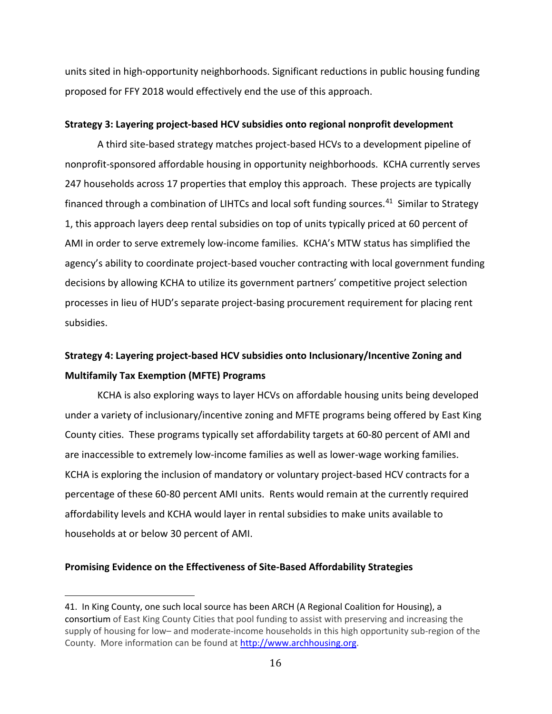units sited in high-opportunity neighborhoods. Significant reductions in public housing funding proposed for FFY 2018 would effectively end the use of this approach.

### **Strategy 3: Layering project-based HCV subsidies onto regional nonprofit development**

A third site-based strategy matches project-based HCVs to a development pipeline of nonprofit-sponsored affordable housing in opportunity neighborhoods. KCHA currently serves 247 households across 17 properties that employ this approach. These projects are typically financed through a combination of LIHTCs and local soft funding sources.<sup>41</sup> Similar to Strategy 1, this approach layers deep rental subsidies on top of units typically priced at 60 percent of AMI in order to serve extremely low-income families. KCHA's MTW status has simplified the agency's ability to coordinate project-based voucher contracting with local government funding decisions by allowing KCHA to utilize its government partners' competitive project selection processes in lieu of HUD's separate project-basing procurement requirement for placing rent subsidies.

# **Strategy 4: Layering project-based HCV subsidies onto Inclusionary/Incentive Zoning and Multifamily Tax Exemption (MFTE) Programs**

KCHA is also exploring ways to layer HCVs on affordable housing units being developed under a variety of inclusionary/incentive zoning and MFTE programs being offered by East King County cities. These programs typically set affordability targets at 60-80 percent of AMI and are inaccessible to extremely low-income families as well as lower-wage working families. KCHA is exploring the inclusion of mandatory or voluntary project-based HCV contracts for a percentage of these 60-80 percent AMI units. Rents would remain at the currently required affordability levels and KCHA would layer in rental subsidies to make units available to households at or below 30 percent of AMI.

### **Promising Evidence on the Effectiveness of Site-Based Affordability Strategies**

<span id="page-16-0"></span>i<br>I 41. In King County, one such local source has been ARCH (A Regional Coalition for Housing), a consortium of East King County Cities that pool funding to assist with preserving and increasing the supply of housing for low– and moderate-income households in this high opportunity sub-region of the County. More information can be found a[t http://www.archhousing.org.](http://www.archhousing.org/)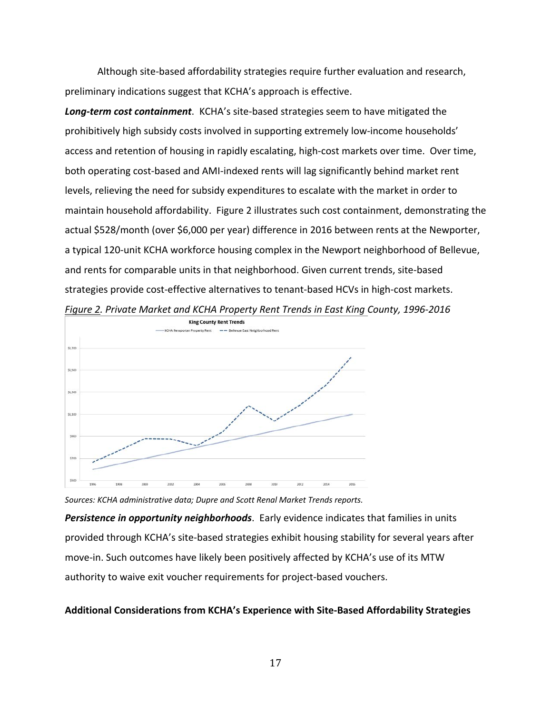Although site-based affordability strategies require further evaluation and research, preliminary indications suggest that KCHA's approach is effective.

*Long-term cost containment*. KCHA's site-based strategies seem to have mitigated the prohibitively high subsidy costs involved in supporting extremely low-income households' access and retention of housing in rapidly escalating, high-cost markets over time. Over time, both operating cost-based and AMI-indexed rents will lag significantly behind market rent levels, relieving the need for subsidy expenditures to escalate with the market in order to maintain household affordability. Figure 2 illustrates such cost containment, demonstrating the actual \$528/month (over \$6,000 per year) difference in 2016 between rents at the Newporter, a typical 120-unit KCHA workforce housing complex in the Newport neighborhood of Bellevue, and rents for comparable units in that neighborhood. Given current trends, site-based strategies provide cost-effective alternatives to tenant-based HCVs in high-cost markets.



*Figure 2. Private Market and KCHA Property Rent Trends in East King County, 1996-2016*

*Sources: KCHA administrative data; Dupre and Scott Renal Market Trends reports. Persistence in opportunity neighborhoods*. Early evidence indicates that families in units provided through KCHA's site-based strategies exhibit housing stability for several years after move-in. Such outcomes have likely been positively affected by KCHA's use of its MTW authority to waive exit voucher requirements for project-based vouchers.

# **Additional Considerations from KCHA's Experience with Site-Based Affordability Strategies**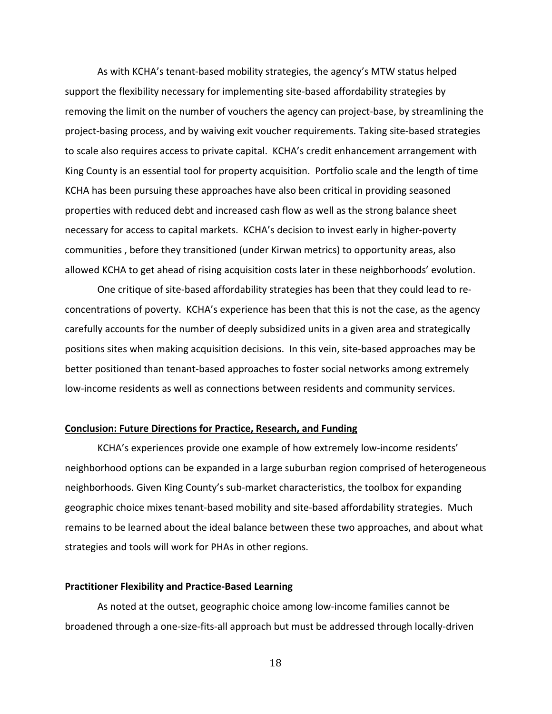As with KCHA's tenant-based mobility strategies, the agency's MTW status helped support the flexibility necessary for implementing site-based affordability strategies by removing the limit on the number of vouchers the agency can project-base, by streamlining the project-basing process, and by waiving exit voucher requirements. Taking site-based strategies to scale also requires access to private capital. KCHA's credit enhancement arrangement with King County is an essential tool for property acquisition. Portfolio scale and the length of time KCHA has been pursuing these approaches have also been critical in providing seasoned properties with reduced debt and increased cash flow as well as the strong balance sheet necessary for access to capital markets. KCHA's decision to invest early in higher-poverty communities , before they transitioned (under Kirwan metrics) to opportunity areas, also allowed KCHA to get ahead of rising acquisition costs later in these neighborhoods' evolution.

One critique of site-based affordability strategies has been that they could lead to reconcentrations of poverty. KCHA's experience has been that this is not the case, as the agency carefully accounts for the number of deeply subsidized units in a given area and strategically positions sites when making acquisition decisions. In this vein, site-based approaches may be better positioned than tenant-based approaches to foster social networks among extremely low-income residents as well as connections between residents and community services.

#### **Conclusion: Future Directions for Practice, Research, and Funding**

KCHA's experiences provide one example of how extremely low-income residents' neighborhood options can be expanded in a large suburban region comprised of heterogeneous neighborhoods. Given King County's sub-market characteristics, the toolbox for expanding geographic choice mixes tenant-based mobility and site-based affordability strategies. Much remains to be learned about the ideal balance between these two approaches, and about what strategies and tools will work for PHAs in other regions.

#### **Practitioner Flexibility and Practice-Based Learning**

As noted at the outset, geographic choice among low-income families cannot be broadened through a one-size-fits-all approach but must be addressed through locally-driven

18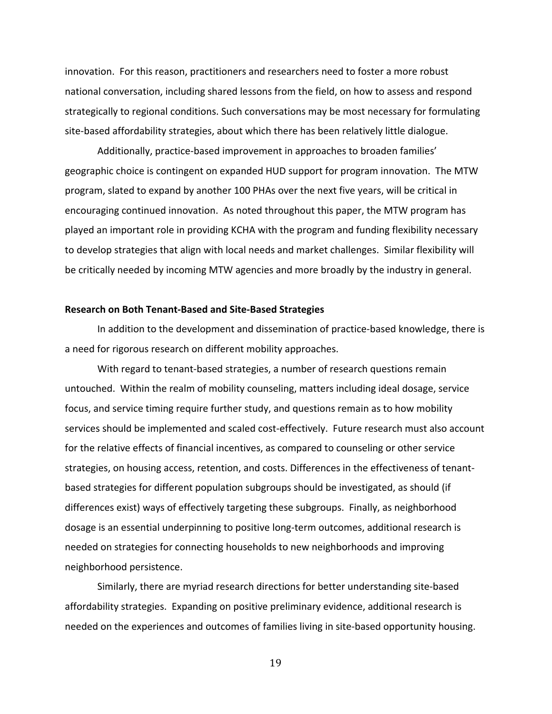innovation. For this reason, practitioners and researchers need to foster a more robust national conversation, including shared lessons from the field, on how to assess and respond strategically to regional conditions. Such conversations may be most necessary for formulating site-based affordability strategies, about which there has been relatively little dialogue.

Additionally, practice-based improvement in approaches to broaden families' geographic choice is contingent on expanded HUD support for program innovation. The MTW program, slated to expand by another 100 PHAs over the next five years, will be critical in encouraging continued innovation. As noted throughout this paper, the MTW program has played an important role in providing KCHA with the program and funding flexibility necessary to develop strategies that align with local needs and market challenges. Similar flexibility will be critically needed by incoming MTW agencies and more broadly by the industry in general.

#### **Research on Both Tenant-Based and Site-Based Strategies**

In addition to the development and dissemination of practice-based knowledge, there is a need for rigorous research on different mobility approaches.

With regard to tenant-based strategies, a number of research questions remain untouched. Within the realm of mobility counseling, matters including ideal dosage, service focus, and service timing require further study, and questions remain as to how mobility services should be implemented and scaled cost-effectively. Future research must also account for the relative effects of financial incentives, as compared to counseling or other service strategies, on housing access, retention, and costs. Differences in the effectiveness of tenantbased strategies for different population subgroups should be investigated, as should (if differences exist) ways of effectively targeting these subgroups. Finally, as neighborhood dosage is an essential underpinning to positive long-term outcomes, additional research is needed on strategies for connecting households to new neighborhoods and improving neighborhood persistence.

Similarly, there are myriad research directions for better understanding site-based affordability strategies. Expanding on positive preliminary evidence, additional research is needed on the experiences and outcomes of families living in site-based opportunity housing.

19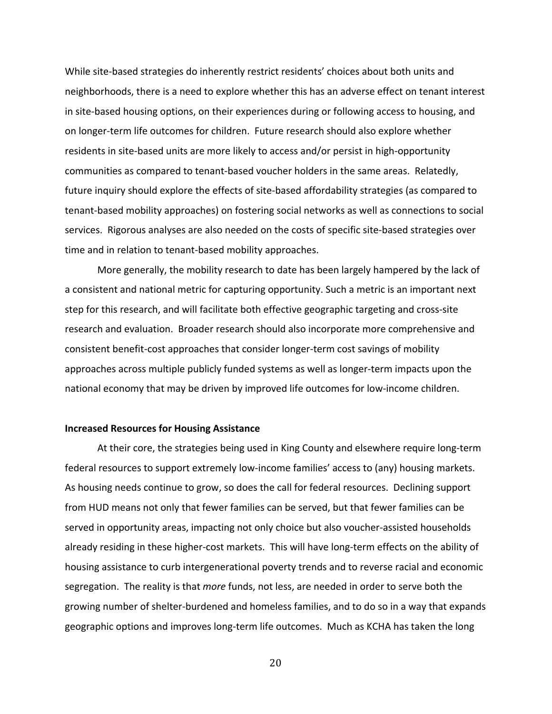While site-based strategies do inherently restrict residents' choices about both units and neighborhoods, there is a need to explore whether this has an adverse effect on tenant interest in site-based housing options, on their experiences during or following access to housing, and on longer-term life outcomes for children. Future research should also explore whether residents in site-based units are more likely to access and/or persist in high-opportunity communities as compared to tenant-based voucher holders in the same areas. Relatedly, future inquiry should explore the effects of site-based affordability strategies (as compared to tenant-based mobility approaches) on fostering social networks as well as connections to social services. Rigorous analyses are also needed on the costs of specific site-based strategies over time and in relation to tenant-based mobility approaches.

More generally, the mobility research to date has been largely hampered by the lack of a consistent and national metric for capturing opportunity. Such a metric is an important next step for this research, and will facilitate both effective geographic targeting and cross-site research and evaluation. Broader research should also incorporate more comprehensive and consistent benefit-cost approaches that consider longer-term cost savings of mobility approaches across multiple publicly funded systems as well as longer-term impacts upon the national economy that may be driven by improved life outcomes for low-income children.

#### **Increased Resources for Housing Assistance**

At their core, the strategies being used in King County and elsewhere require long-term federal resources to support extremely low-income families' access to (any) housing markets. As housing needs continue to grow, so does the call for federal resources. Declining support from HUD means not only that fewer families can be served, but that fewer families can be served in opportunity areas, impacting not only choice but also voucher-assisted households already residing in these higher-cost markets. This will have long-term effects on the ability of housing assistance to curb intergenerational poverty trends and to reverse racial and economic segregation. The reality is that *more* funds, not less, are needed in order to serve both the growing number of shelter-burdened and homeless families, and to do so in a way that expands geographic options and improves long-term life outcomes. Much as KCHA has taken the long

20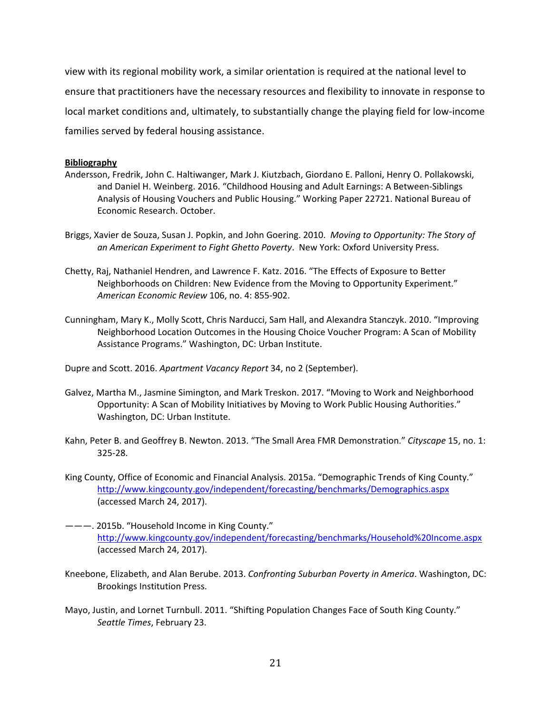view with its regional mobility work, a similar orientation is required at the national level to ensure that practitioners have the necessary resources and flexibility to innovate in response to local market conditions and, ultimately, to substantially change the playing field for low-income families served by federal housing assistance.

#### **Bibliography**

- Andersson, Fredrik, John C. Haltiwanger, Mark J. Kiutzbach, Giordano E. Palloni, Henry O. Pollakowski, and Daniel H. Weinberg. 2016. "Childhood Housing and Adult Earnings: A Between-Siblings Analysis of Housing Vouchers and Public Housing." Working Paper 22721. National Bureau of Economic Research. October.
- Briggs, Xavier de Souza, Susan J. Popkin, and John Goering. 2010. *Moving to Opportunity: The Story of an American Experiment to Fight Ghetto Poverty*. New York: Oxford University Press.
- Chetty, Raj, Nathaniel Hendren, and Lawrence F. Katz. 2016. "The Effects of Exposure to Better Neighborhoods on Children: New Evidence from the Moving to Opportunity Experiment." *American Economic Review* 106, no. 4: 855-902.
- Cunningham, Mary K., Molly Scott, Chris Narducci, Sam Hall, and Alexandra Stanczyk. 2010. "Improving Neighborhood Location Outcomes in the Housing Choice Voucher Program: A Scan of Mobility Assistance Programs." Washington, DC: Urban Institute.

Dupre and Scott. 2016. *Apartment Vacancy Report* 34, no 2 (September).

- Galvez, Martha M., Jasmine Simington, and Mark Treskon. 2017. "Moving to Work and Neighborhood Opportunity: A Scan of Mobility Initiatives by Moving to Work Public Housing Authorities." Washington, DC: Urban Institute.
- Kahn, Peter B. and Geoffrey B. Newton. 2013. "The Small Area FMR Demonstration." *Cityscape* 15, no. 1: 325-28.
- King County, Office of Economic and Financial Analysis. 2015a. "Demographic Trends of King County." <http://www.kingcounty.gov/independent/forecasting/benchmarks/Demographics.aspx> (accessed March 24, 2017).
- ———. 2015b. "Household Income in King County." <http://www.kingcounty.gov/independent/forecasting/benchmarks/Household%20Income.aspx> (accessed March 24, 2017).
- Kneebone, Elizabeth, and Alan Berube. 2013. *Confronting Suburban Poverty in America*. Washington, DC: Brookings Institution Press.
- Mayo, Justin, and Lornet Turnbull. 2011. "Shifting Population Changes Face of South King County." *Seattle Times*, February 23.